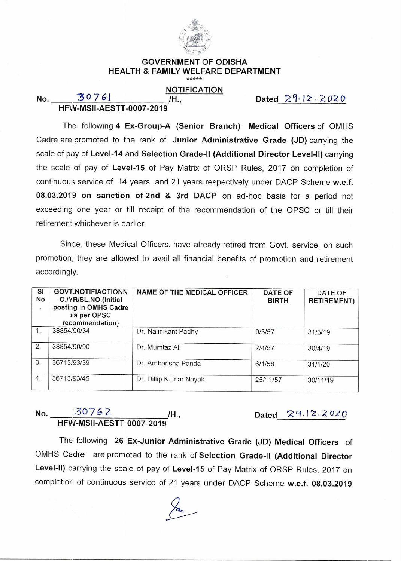

## **GOVERNMENT OF ODISHA HEALTH & FAMILY WELFARE DEPARTMENT**

**NOTIFICATION** 

**HFW-MSII-AESTT-0007-2019** 

**No.** 30761 **/H.,** Dated  $29.12.2020$ 

The following **4 Ex-Group-A (Senior Branch) Medical Officers** of OMHS Cadre are promoted to the rank of **Junior Administrative Grade (JD)** carrying the scale of pay of **Level-14** and **Selection Grade-II (Additional Director Level-II)** carrying the scale of pay of **Level-15** of Pay Matrix of ORSP Rules, 2017 on completion of continuous service of 14 years and 21 years respectively under DACP Scheme **w.e.f. 08.03.2019 on sanction of 2nd & 3rd DACP** on ad-hoc basis for a period not exceeding one year or till receipt of the recommendation of the OPSC or till their retirement whichever is earlier.

Since, these Medical Officers, have already retired from Govt. service, on such promotion, they are allowed to avail all financial benefits of promotion and retirement accordingly.

| <b>SI</b><br>No | <b>GOVT.NOTIFIACTIONN</b><br>O./YR/SL.NO.(Initial<br>posting in OMHS Cadre<br>as per OPSC<br>recommendation) | NAME OF THE MEDICAL OFFICER | <b>DATE OF</b><br><b>BIRTH</b> | <b>DATE OF</b><br><b>RETIREMENT)</b> |
|-----------------|--------------------------------------------------------------------------------------------------------------|-----------------------------|--------------------------------|--------------------------------------|
| $\mathbf{1}$    | 38854/90/34                                                                                                  | Dr. Nalinikant Padhy        | 9/3/57                         | 31/3/19                              |
| 2.              | 38854/90/90                                                                                                  | Dr. Mumtaz Ali              | 2/4/57                         | 30/4/19                              |
| 3.              | 36713/93/39                                                                                                  | Dr. Ambarisha Panda         | 6/1/58                         | 31/1/20                              |
| 4.              | 36713/93/45                                                                                                  | Dr. Dillip Kumar Nayak      | 25/11/57                       | 30/11/19                             |

## **No.** 30762 /H., **HFW-MSII-AESTT-0007-2019**

Dated  $29.12.2020$ 

The following **26 Ex-Junior Administrative Grade (JD) Medical Officers** of OMHS Cadre are promoted to the rank of **Selection Grade-II (Additional Director Level-II)** carrying the scale of pay of **Level-15** of Pay Matrix of ORSP Rules, 2017 on completion of continuous service of 21 years under DACP Scheme **w.e.f. 08.03.2019**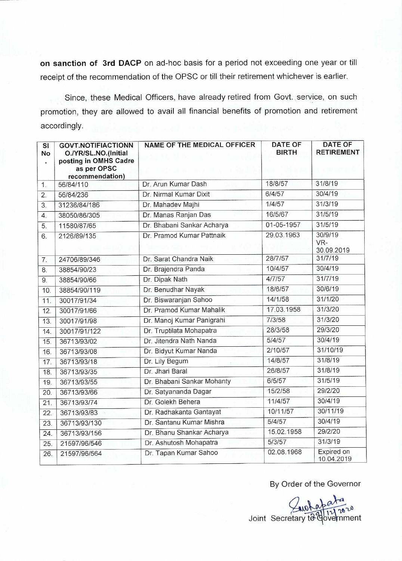on sanction of 3rd DACP on ad-hoc basis for a period not exceeding one year or till receipt of the recommendation of the OPSC or till their retirement whichever is earlier.

Since, these Medical Officers, have already retired from Govt. service, on such promotion, they are allowed to avail all financial benefits of promotion and retirement accordingly.

| $\overline{\mathsf{SI}}$<br>No<br>¥ | <b>GOVT.NOTIFIACTIONN</b><br>O./YR/SL.NO.(Initial<br>posting in OMHS Cadre<br>as per OPSC<br>recommendation) | <b>NAME OF THE MEDICAL OFFICER</b> | <b>DATE OF</b><br><b>BIRTH</b> | <b>DATE OF</b><br><b>RETIREMENT</b> |
|-------------------------------------|--------------------------------------------------------------------------------------------------------------|------------------------------------|--------------------------------|-------------------------------------|
| 1.                                  | 56/84/110                                                                                                    | Dr. Arun Kumar Dash                | 18/8/57                        | 31/8/19                             |
| 2.                                  | 56/84/236                                                                                                    | Dr. Nirmal Kumar Dixit             | 6/4/57                         | 30/4/19                             |
| 3.                                  | 31236/84/186                                                                                                 | Dr. Mahadev Majhi                  | 1/4/57                         | 31/3/19                             |
| $\overline{4}$ .                    | 38050/86/305                                                                                                 | Dr. Manas Ranjan Das               | 16/5/67                        | 31/5/19                             |
| 5.                                  | 11580/87/65                                                                                                  | Dr. Bhabani Sankar Acharya         | 01-05-1957                     | 31/5/19                             |
| 6.                                  | 2126/89/135                                                                                                  | Dr. Pramod Kumar Pattnaik          | 29.03.1963                     | 30/9/19<br>VR-<br>30.09.2019        |
| 7.                                  | 24706/89/346                                                                                                 | Dr. Sarat Chandra Naik             | 28/7/57                        | 31/7/19                             |
| 8.                                  | 38854/90/23                                                                                                  | Dr. Brajendra Panda                | 10/4/57                        | 30/4/19                             |
| 9.                                  | 38854/90/66                                                                                                  | Dr. Dipak Nath                     | 4/7/57                         | 31/7/19                             |
| 10.                                 | 38854/90/119                                                                                                 | Dr. Benudhar Nayak                 | 18/6/57                        | 30/6/19                             |
| 11.                                 | 30017/91/34                                                                                                  | Dr. Biswaranjan Sahoo              | 14/1/58                        | 31/1/20                             |
| 12.                                 | 30017/91/66                                                                                                  | Dr. Pramod Kumar Mahalik           | 17.03.1958                     | 31/3/20                             |
| 13.                                 | 30017/91/98                                                                                                  | Dr. Manoj Kumar Panigrahi          | 7/3/58                         | 31/3/20                             |
| 14.                                 | 30017/91/122                                                                                                 | Dr. Truptilata Mohapatra           | 28/3/58                        | 29/3/20                             |
| 15.                                 | 36713/93/02                                                                                                  | Dr. Jitendra Nath Nanda            | 5/4/57                         | 30/4/19                             |
| 16.                                 | 36713/93/08                                                                                                  | Dr. Bidyut Kumar Nanda             | 2/10/57                        | 31/10/19                            |
| 17.                                 | 36713/93/18                                                                                                  | Dr. Lily Begum                     | 14/8/57                        | 31/8/19                             |
| 18.                                 | 36713/93/35                                                                                                  | Dr. Jhari Baral                    | 26/8/57                        | 31/8/19                             |
| 19.                                 | 36713/93/55                                                                                                  | Dr. Bhabani Sankar Mohanty         | 6/5/57                         | 31/5/19                             |
| 20.                                 | 36713/93/66                                                                                                  | Dr. Satyananda Dagar               | 15/2/58                        | 29/2/20                             |
| 21.                                 | 36713/93/74                                                                                                  | Dr. Golekh Behera                  | 11/4/57                        | 30/4/19                             |
| 22.                                 | 36713/93/83                                                                                                  | Dr. Radhakanta Gantayat            | 10/11/57                       | 30/11/19                            |
| 23.                                 | 36713/93/130                                                                                                 | Dr. Santanu Kumar Mishra           | 5/4/57                         | 30/4/19                             |
| 24.                                 | 36713/93/156                                                                                                 | Dr. Bhanu Shankar Acharya          | 15.02.1958                     | 29/2/20                             |
| 25.                                 | 21597/96/546                                                                                                 | Dr. Ashutosh Mohapatra             | 5/3/57                         | 31/3/19                             |
| 26.                                 | 21597/96/564                                                                                                 | Dr. Tapan Kumar Sahoo              | 02.08.1968                     | Expired on<br>10.04.2019            |

## By Order of the Governor

Joint Secretary to (  $\frac{a}{11}$ 2020 vetnment